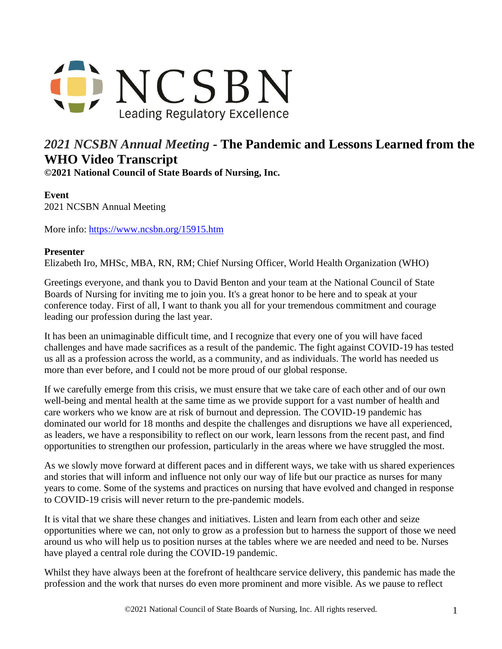

## *2021 NCSBN Annual Meeting* **- The Pandemic and Lessons Learned from the WHO Video Transcript**

**©2021 National Council of State Boards of Nursing, Inc.** 

## **Event**

2021 NCSBN Annual Meeting

More info:<https://www.ncsbn.org/15915.htm>

## **Presenter**

Elizabeth Iro, MHSc, MBA, RN, RM; Chief Nursing Officer, World Health Organization (WHO)

Greetings everyone, and thank you to David Benton and your team at the National Council of State Boards of Nursing for inviting me to join you. It's a great honor to be here and to speak at your conference today. First of all, I want to thank you all for your tremendous commitment and courage leading our profession during the last year.

It has been an unimaginable difficult time, and I recognize that every one of you will have faced challenges and have made sacrifices as a result of the pandemic. The fight against COVID-19 has tested us all as a profession across the world, as a community, and as individuals. The world has needed us more than ever before, and I could not be more proud of our global response.

If we carefully emerge from this crisis, we must ensure that we take care of each other and of our own well-being and mental health at the same time as we provide support for a vast number of health and care workers who we know are at risk of burnout and depression. The COVID-19 pandemic has dominated our world for 18 months and despite the challenges and disruptions we have all experienced, as leaders, we have a responsibility to reflect on our work, learn lessons from the recent past, and find opportunities to strengthen our profession, particularly in the areas where we have struggled the most.

As we slowly move forward at different paces and in different ways, we take with us shared experiences and stories that will inform and influence not only our way of life but our practice as nurses for many years to come. Some of the systems and practices on nursing that have evolved and changed in response to COVID-19 crisis will never return to the pre-pandemic models.

It is vital that we share these changes and initiatives. Listen and learn from each other and seize opportunities where we can, not only to grow as a profession but to harness the support of those we need around us who will help us to position nurses at the tables where we are needed and need to be. Nurses have played a central role during the COVID-19 pandemic.

Whilst they have always been at the forefront of healthcare service delivery, this pandemic has made the profession and the work that nurses do even more prominent and more visible. As we pause to reflect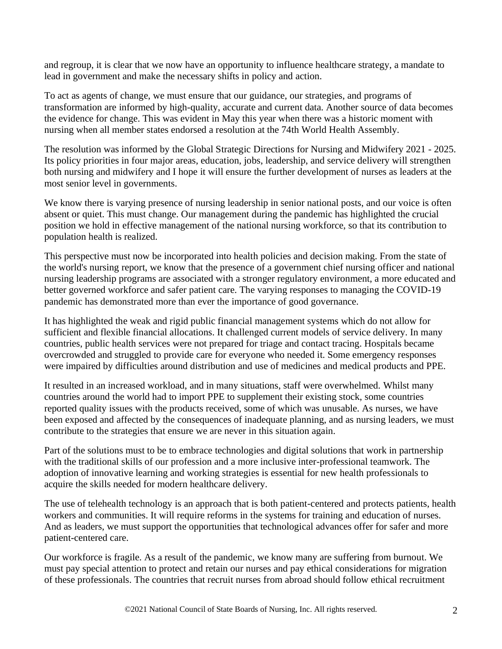and regroup, it is clear that we now have an opportunity to influence healthcare strategy, a mandate to lead in government and make the necessary shifts in policy and action.

To act as agents of change, we must ensure that our guidance, our strategies, and programs of transformation are informed by high-quality, accurate and current data. Another source of data becomes the evidence for change. This was evident in May this year when there was a historic moment with nursing when all member states endorsed a resolution at the 74th World Health Assembly.

The resolution was informed by the Global Strategic Directions for Nursing and Midwifery 2021 - 2025. Its policy priorities in four major areas, education, jobs, leadership, and service delivery will strengthen both nursing and midwifery and I hope it will ensure the further development of nurses as leaders at the most senior level in governments.

We know there is varying presence of nursing leadership in senior national posts, and our voice is often absent or quiet. This must change. Our management during the pandemic has highlighted the crucial position we hold in effective management of the national nursing workforce, so that its contribution to population health is realized.

This perspective must now be incorporated into health policies and decision making. From the state of the world's nursing report, we know that the presence of a government chief nursing officer and national nursing leadership programs are associated with a stronger regulatory environment, a more educated and better governed workforce and safer patient care. The varying responses to managing the COVID-19 pandemic has demonstrated more than ever the importance of good governance.

It has highlighted the weak and rigid public financial management systems which do not allow for sufficient and flexible financial allocations. It challenged current models of service delivery. In many countries, public health services were not prepared for triage and contact tracing. Hospitals became overcrowded and struggled to provide care for everyone who needed it. Some emergency responses were impaired by difficulties around distribution and use of medicines and medical products and PPE.

It resulted in an increased workload, and in many situations, staff were overwhelmed. Whilst many countries around the world had to import PPE to supplement their existing stock, some countries reported quality issues with the products received, some of which was unusable. As nurses, we have been exposed and affected by the consequences of inadequate planning, and as nursing leaders, we must contribute to the strategies that ensure we are never in this situation again.

Part of the solutions must to be to embrace technologies and digital solutions that work in partnership with the traditional skills of our profession and a more inclusive inter-professional teamwork. The adoption of innovative learning and working strategies is essential for new health professionals to acquire the skills needed for modern healthcare delivery.

The use of telehealth technology is an approach that is both patient-centered and protects patients, health workers and communities. It will require reforms in the systems for training and education of nurses. And as leaders, we must support the opportunities that technological advances offer for safer and more patient-centered care.

Our workforce is fragile. As a result of the pandemic, we know many are suffering from burnout. We must pay special attention to protect and retain our nurses and pay ethical considerations for migration of these professionals. The countries that recruit nurses from abroad should follow ethical recruitment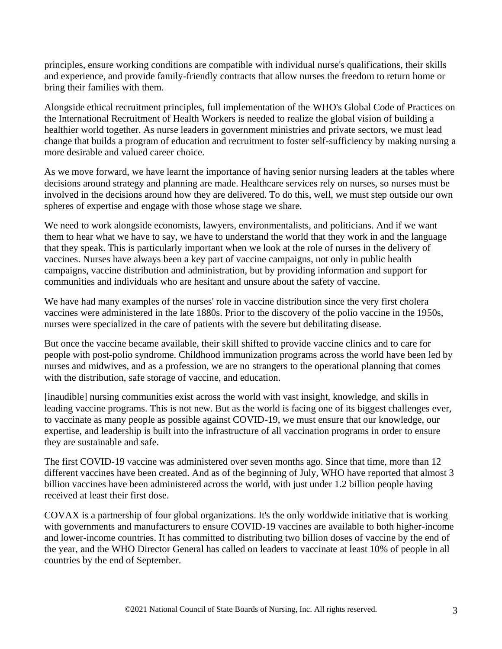principles, ensure working conditions are compatible with individual nurse's qualifications, their skills and experience, and provide family-friendly contracts that allow nurses the freedom to return home or bring their families with them.

Alongside ethical recruitment principles, full implementation of the WHO's Global Code of Practices on the International Recruitment of Health Workers is needed to realize the global vision of building a healthier world together. As nurse leaders in government ministries and private sectors, we must lead change that builds a program of education and recruitment to foster self-sufficiency by making nursing a more desirable and valued career choice.

As we move forward, we have learnt the importance of having senior nursing leaders at the tables where decisions around strategy and planning are made. Healthcare services rely on nurses, so nurses must be involved in the decisions around how they are delivered. To do this, well, we must step outside our own spheres of expertise and engage with those whose stage we share.

We need to work alongside economists, lawyers, environmentalists, and politicians. And if we want them to hear what we have to say, we have to understand the world that they work in and the language that they speak. This is particularly important when we look at the role of nurses in the delivery of vaccines. Nurses have always been a key part of vaccine campaigns, not only in public health campaigns, vaccine distribution and administration, but by providing information and support for communities and individuals who are hesitant and unsure about the safety of vaccine.

We have had many examples of the nurses' role in vaccine distribution since the very first cholera vaccines were administered in the late 1880s. Prior to the discovery of the polio vaccine in the 1950s, nurses were specialized in the care of patients with the severe but debilitating disease.

But once the vaccine became available, their skill shifted to provide vaccine clinics and to care for people with post-polio syndrome. Childhood immunization programs across the world have been led by nurses and midwives, and as a profession, we are no strangers to the operational planning that comes with the distribution, safe storage of vaccine, and education.

[inaudible] nursing communities exist across the world with vast insight, knowledge, and skills in leading vaccine programs. This is not new. But as the world is facing one of its biggest challenges ever, to vaccinate as many people as possible against COVID-19, we must ensure that our knowledge, our expertise, and leadership is built into the infrastructure of all vaccination programs in order to ensure they are sustainable and safe.

The first COVID-19 vaccine was administered over seven months ago. Since that time, more than 12 different vaccines have been created. And as of the beginning of July, WHO have reported that almost 3 billion vaccines have been administered across the world, with just under 1.2 billion people having received at least their first dose.

COVAX is a partnership of four global organizations. It's the only worldwide initiative that is working with governments and manufacturers to ensure COVID-19 vaccines are available to both higher-income and lower-income countries. It has committed to distributing two billion doses of vaccine by the end of the year, and the WHO Director General has called on leaders to vaccinate at least 10% of people in all countries by the end of September.